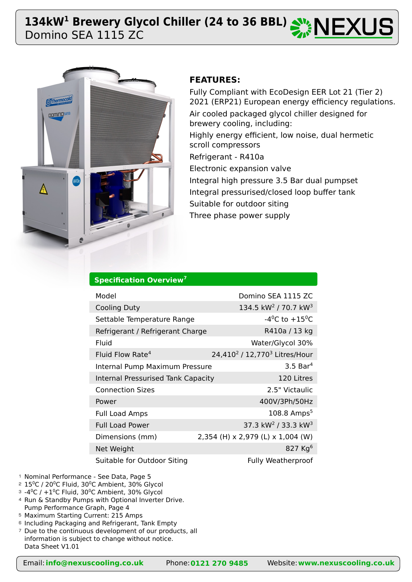# Domino SEA 1115 ZC 134kW<sup>1</sup> Brewery Glycol Chiller (24 to 36 BBL)  $\mathbb{Z}$  NEXUS



# **FEATURES:**

Fully Compliant with EcoDesign EER Lot 21 (Tier 2) 2021 (ERP21) European energy efficiency regulations. Air cooled packaged glycol chiller designed for brewery cooling, including: Highly energy efficient, low noise, dual hermetic scroll compressors Refrigerant - R410a Electronic expansion valve Integral high pressure 3.5 Bar dual pumpset Integral pressurised/closed loop buffer tank Suitable for outdoor siting Three phase power supply

# **Specification Overview<sup>7</sup>**

| Model                                     | Domino SEA 1115 ZC                                    |
|-------------------------------------------|-------------------------------------------------------|
| <b>Cooling Duty</b>                       | 134.5 kW <sup>2</sup> / 70.7 kW <sup>3</sup>          |
| Settable Temperature Range                | -4 <sup>o</sup> C to +15 <sup>o</sup> C               |
| Refrigerant / Refrigerant Charge          | R410a / 13 kg                                         |
| Fluid                                     | Water/Glycol 30%                                      |
| Fluid Flow Rate <sup>4</sup>              | 24,410 <sup>2</sup> / 12,770 <sup>3</sup> Litres/Hour |
| Internal Pump Maximum Pressure            | $3.5$ Bar <sup>4</sup>                                |
| <b>Internal Pressurised Tank Capacity</b> | 120 Litres                                            |
| <b>Connection Sizes</b>                   | 2.5" Victaulic                                        |
| Power                                     | 400V/3Ph/50Hz                                         |
| <b>Full Load Amps</b>                     | $108.8$ Amps <sup>5</sup>                             |
| <b>Full Load Power</b>                    | 37.3 kW <sup>2</sup> / 33.3 kW <sup>3</sup>           |
| Dimensions (mm)                           | 2,354 (H) x 2,979 (L) x 1,004 (W)                     |
| Net Weight                                | 827 $Kq^6$                                            |
| Suitable for Outdoor Siting               | <b>Fully Weatherproof</b>                             |

- <sup>1</sup> Nominal Performance See Data, Page 5
- $2$   $15^{\circ}$ C / 20 $^{\circ}$ C Fluid, 30 $^{\circ}$ C Ambient, 30% Glycol
- $^{\circ}$  -4 $^{\circ}$ C / +1 $^{\circ}$ C Fluid, 30 $^{\circ}$ C Ambient, 30% Glycol
- 4 Run & Standby Pumps with Optional Inverter Drive. Pump Performance Graph, Page 4
- Maximum Starting Current: 215 Amps 5
- <sup>6</sup> Including Packaging and Refrigerant, Tank Empty
- <sup>7</sup> Due to the continuous development of our products, all information is subject to change without notice. Data Sheet V1.01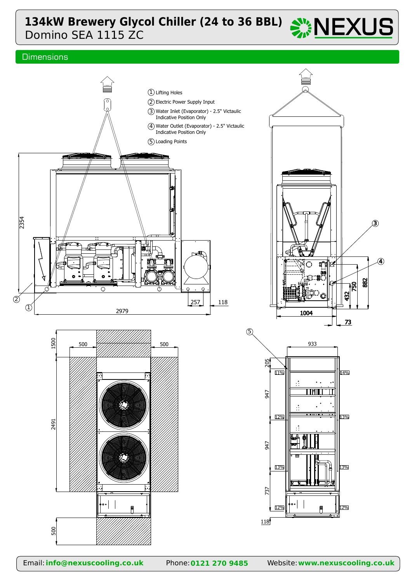# Domino SEA 1115 ZC **134kW Brewery Glycol Chiller (24 to 36 BBL)**  $\frac{134}{20}$  **NEXUS**

## **Dimensions**

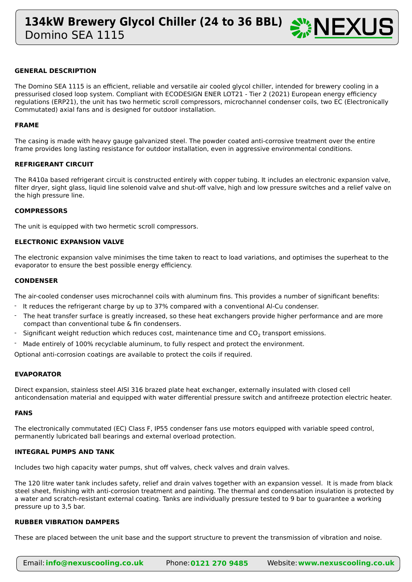

#### **GENERAL DESCRIPTION**

The Domino SEA 1115 is an efficient, reliable and versatile air cooled glycol chiller, intended for brewery cooling in a pressurised closed loop system. Compliant with ECODESIGN ENER LOT21 - Tier 2 (2021) European energy efficiency regulations (ERP21), the unit has two hermetic scroll compressors, microchannel condenser coils, two EC (Electronically Commutated) axial fans and is designed for outdoor installation.

#### **FRAME**

The casing is made with heavy gauge galvanized steel. The powder coated anti-corrosive treatment over the entire frame provides long lasting resistance for outdoor installation, even in aggressive environmental conditions.

#### **REFRIGERANT CIRCUIT**

The R410a based refrigerant circuit is constructed entirely with copper tubing. It includes an electronic expansion valve, filter dryer, sight glass, liquid line solenoid valve and shut-off valve, high and low pressure switches and a relief valve on the high pressure line.

#### **COMPRESSORS**

The unit is equipped with two hermetic scroll compressors.

#### **ELECTRONIC EXPANSION VALVE**

The electronic expansion valve minimises the time taken to react to load variations, and optimises the superheat to the evaporator to ensure the best possible energy efficiency.

#### **CONDENSER**

The air-cooled condenser uses microchannel coils with aluminum fins. This provides a number of significant benefits:

- It reduces the refrigerant charge by up to 37% compared with a conventional Al-Cu condenser.
- The heat transfer surface is greatly increased, so these heat exchangers provide higher performance and are more compact than conventional tube & fin condensers. -
- Significant weight reduction which reduces cost, maintenance time and  $CO<sub>2</sub>$  transport emissions. -
- Made entirely of 100% recyclable aluminum, to fully respect and protect the environment. -

Optional anti-corrosion coatings are available to protect the coils if required.

#### **EVAPORATOR**

Direct expansion, stainless steel AISI 316 brazed plate heat exchanger, externally insulated with closed cell anticondensation material and equipped with water differential pressure switch and antifreeze protection electric heater.

#### **FANS**

The electronically commutated (EC) Class F, IP55 condenser fans use motors equipped with variable speed control, permanently lubricated ball bearings and external overload protection.

#### **INTEGRAL PUMPS AND TANK**

Includes two high capacity water pumps, shut off valves, check valves and drain valves.

The 120 litre water tank includes safety, relief and drain valves together with an expansion vessel. It is made from black steel sheet, finishing with anti-corrosion treatment and painting. The thermal and condensation insulation is protected by a water and scratch-resistant external coating. Tanks are individually pressure tested to 9 bar to guarantee a working pressure up to 3,5 bar.

#### **RUBBER VIBRATION DAMPERS**

These are placed between the unit base and the support structure to prevent the transmission of vibration and noise.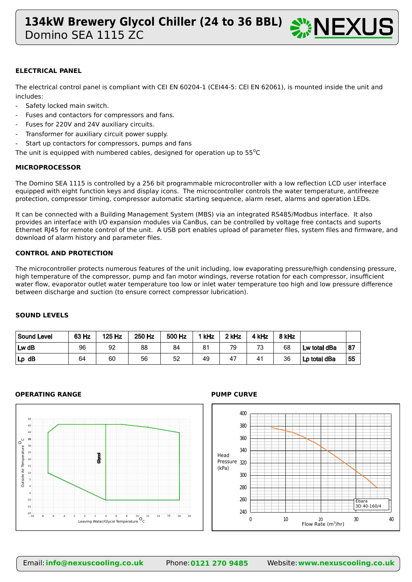

### **ELECTRICAL PANEL**

The electrical control panel is compliant with CEI EN 60204-1 (CEI44-5: CEI EN 62061), is mounted inside the unit and includes:

- Safety locked main switch.
- Fuses and contactors for compressors and fans.
- Fuses for 220V and 24V auxiliary circuits.
- Transformer for auxiliary circuit power supply.
- Start up contactors for compressors, pumps and fans

The unit is equipped with numbered cables, designed for operation up to  $55^{\circ}$ C

### **MICROPROCESSOR**

The Domino SEA 1115 is controlled by a 256 bit programmable microcontroller with a low reflection LCD user interface equipped with eight function keys and display icons. The microcontroller controls the water temperature, antifreeze protection, compressor timing, compressor automatic starting sequence, alarm reset, alarms and operation LEDs.

It can be connected with a Building Management System (MBS) via an integrated RS485/Modbus interface. It also provides an interface with I/O expansion modules via CanBus, can be controlled by voltage free contacts and suports Ethernet RJ45 for remote control of the unit. A USB port enables upload of parameter files, system files and firmware, and download of alarm history and parameter files.

#### **CONTROL AND PROTECTION**

The microcontroller protects numerous features of the unit including, low evaporating pressure/high condensing pressure, high temperature of the compressor, pump and fan motor windings, reverse rotation for each compressor, insufficient water flow, evaporator outlet water temperature too low or inlet water temperature too high and low pressure difference between discharge and suction (to ensure correct compressor lubrication).

### **SOUND LEVELS**

| Sound Level | 63 Hz | 125 Hz | 250 Hz | 500 Hz | `kHz | 2 kHz | kHz | 8 kHz |              |     |
|-------------|-------|--------|--------|--------|------|-------|-----|-------|--------------|-----|
| $Lw$ dB     | 96    | 92     | 88     | 84     | 81   | 79    | 73  | 68    | Lw total dBa | 187 |
| $Lp$ dB     | 64    | 60     | 56     | 52     | 49   | 47    | 41  | 36    | Lp total dBa | 55  |

#### **OPERATING RANGE PUMP CURVE**